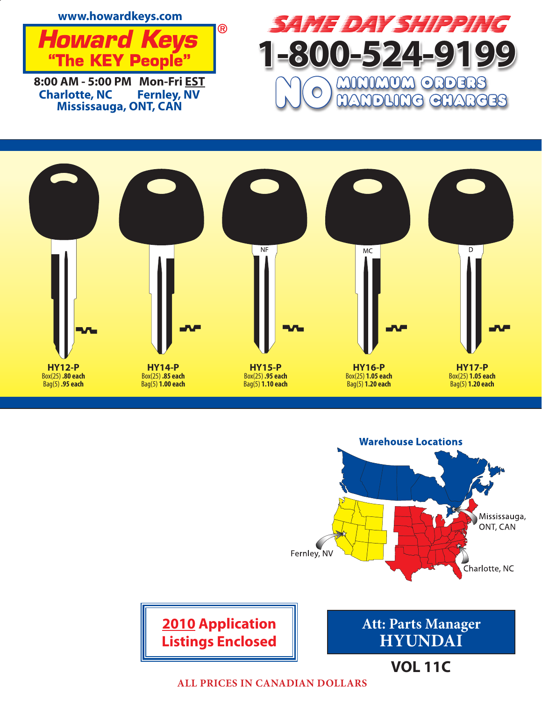







**ALL PRICES IN CANADIAN DOLLARS**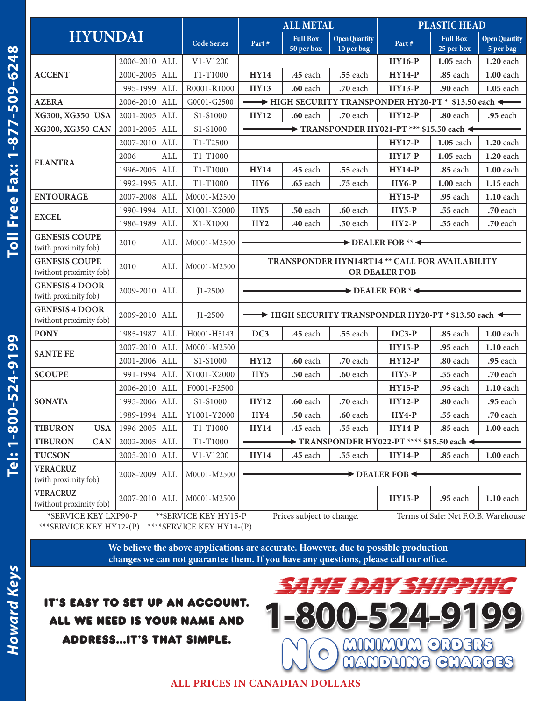| <b>HYUNDAI</b>                                                                                                    |               |     |                    | <b>ALL METAL</b>                                                  |                                              | <b>PLASTIC HEAD</b>                |                                                        |                               |                                   |
|-------------------------------------------------------------------------------------------------------------------|---------------|-----|--------------------|-------------------------------------------------------------------|----------------------------------------------|------------------------------------|--------------------------------------------------------|-------------------------------|-----------------------------------|
|                                                                                                                   |               |     | <b>Code Series</b> | Part#                                                             | <b>Full Box</b><br>$50$ per $\overline{box}$ | <b>Open Quantity</b><br>10 per bag | Part#                                                  | <b>Full Box</b><br>25 per box | <b>Open Quantity</b><br>5 per bag |
| <b>ACCENT</b>                                                                                                     | 2006-2010 ALL |     | $V1-V1200$         |                                                                   |                                              |                                    | <b>HY16-P</b>                                          | 1.05 each                     | 1.20 each                         |
|                                                                                                                   | 2000-2005 ALL |     | T1-T1000           | <b>HY14</b>                                                       | .45 each                                     | .55 each                           | <b>HY14-P</b>                                          | .85 each                      | 1.00 each                         |
|                                                                                                                   | 1995-1999 ALL |     | R0001-R1000        | <b>HY13</b>                                                       | .60 each                                     | .70 each                           | <b>HY13-P</b>                                          | .90 each                      | 1.05 each                         |
| <b>AZERA</b>                                                                                                      | 2006-2010 ALL |     | G0001-G2500        | → HIGH SECURITY TRANSPONDER HY20-PT * \$13.50 each ←              |                                              |                                    |                                                        |                               |                                   |
| XG300, XG350 USA                                                                                                  | 2001-2005 ALL |     | S1-S1000           | <b>HY12</b>                                                       | .60 each                                     | .70 each                           | <b>HY12-P</b>                                          | .80 each                      | .95 each                          |
| XG300, XG350 CAN                                                                                                  | 2001-2005 ALL |     | S1-S1000           | $\rightarrow$ TRANSPONDER HY021-PT *** \$15.50 each $\rightarrow$ |                                              |                                    |                                                        |                               |                                   |
| <b>ELANTRA</b>                                                                                                    | 2007-2010 ALL |     | T1-T2500           | <b>HY17-P</b><br>1.05 each<br>1.20 each                           |                                              |                                    |                                                        |                               |                                   |
|                                                                                                                   | 2006          | ALL | T1-T1000           |                                                                   |                                              |                                    | $HY17-P$                                               | 1.05 each                     | 1.20 each                         |
|                                                                                                                   | 1996-2005 ALL |     | T1-T1000           | <b>HY14</b>                                                       | .45 each                                     | .55 each                           | <b>HY14-P</b>                                          | .85 each                      | 1.00 each                         |
|                                                                                                                   | 1992-1995 ALL |     | T1-T1000           | HY <sub>6</sub>                                                   | .65 each                                     | .75 each                           | <b>HY6-P</b>                                           | 1.00 each                     | 1.15 each                         |
| <b>ENTOURAGE</b>                                                                                                  | 2007-2008 ALL |     | M0001-M2500        |                                                                   |                                              |                                    | <b>HY15-P</b>                                          | .95 each                      | 1.10 each                         |
| <b>EXCEL</b>                                                                                                      | 1990-1994 ALL |     | X1001-X2000        | HY <sub>5</sub>                                                   | .50 each                                     | .60 each                           | $HY5-P$                                                | .55 each                      | .70 each                          |
|                                                                                                                   | 1986-1989 ALL |     | X1-X1000           | HY <sub>2</sub>                                                   | .40 each                                     | .50 each                           | $HY2-P$                                                | .55 each                      | .70 each                          |
| <b>GENESIS COUPE</b><br>(with proximity fob)                                                                      | 2010          | ALL | M0001-M2500        | $\rightarrow$ DEALER FOB **                                       |                                              |                                    |                                                        |                               |                                   |
| <b>GENESIS COUPE</b><br>(without proximity fob)                                                                   | 2010          | ALL | M0001-M2500        | TRANSPONDER HYN14RT14 ** CALL FOR AVAILABILITY<br>OR DEALER FOB   |                                              |                                    |                                                        |                               |                                   |
| <b>GENESIS 4 DOOR</b><br>(with proximity fob)                                                                     | 2009-2010 ALL |     | $J1 - 2500$        | $\rightarrow$ DEALER FOB $* \leftarrow$                           |                                              |                                    |                                                        |                               |                                   |
| <b>GENESIS 4 DOOR</b><br>(without proximity fob)                                                                  | 2009-2010 ALL |     | $J1 - 2500$        | HIGH SECURITY TRANSPONDER HY20-PT * \$13.50 each                  |                                              |                                    |                                                        |                               |                                   |
| <b>PONY</b>                                                                                                       | 1985-1987 ALL |     | H0001-H5143        | DC3                                                               | .45 each                                     | .55 each                           | $DC3-P$                                                | .85 each                      | 1.00 each                         |
| <b>SANTE FE</b>                                                                                                   | 2007-2010 ALL |     | M0001-M2500        |                                                                   |                                              |                                    | <b>HY15-P</b>                                          | .95 each                      | 1.10 each                         |
|                                                                                                                   | 2001-2006 ALL |     | S1-S1000           | <b>HY12</b>                                                       | .60 each                                     | .70 each                           | <b>HY12-P</b>                                          | .80 each                      | .95 each                          |
| <b>SCOUPE</b>                                                                                                     | 1991-1994 ALL |     | X1001-X2000        | HY <sub>5</sub>                                                   | .50 each                                     | .60 each                           | $HY5-P$                                                | .55 each                      | .70 each                          |
| <b>SONATA</b>                                                                                                     | 2006-2010 ALL |     | F0001-F2500        |                                                                   |                                              |                                    | <b>HY15-P</b>                                          | .95 each                      | 1.10 each                         |
|                                                                                                                   | 1995-2006 ALL |     | S1-S1000           | <b>HY12</b>                                                       | .60 each                                     | .70 each                           | <b>HY12-P</b>                                          | .80 each                      | .95 each                          |
|                                                                                                                   | 1989-1994 ALL |     | Y1001-Y2000        | HY4                                                               | ${\bf .50}$ each                             | .60 each                           | $HY4-P$                                                | .55 each                      | .70 each                          |
| <b>TIBURON</b><br><b>USA</b>                                                                                      | 1996-2005 ALL |     | T1-T1000           | <b>HY14</b>                                                       | .45 each                                     | .55 each                           | <b>HY14-P</b>                                          | .85 each                      | <b>1.00</b> each                  |
| <b>TIBURON</b><br><b>CAN</b>                                                                                      | 2002-2005 ALL |     | T1-T1000           |                                                                   |                                              |                                    | TRANSPONDER HY022-PT **** \$15.50 each $\triangleleft$ |                               |                                   |
| <b>TUCSON</b>                                                                                                     | 2005-2010 ALL |     | $V1-V1200$         | <b>HY14</b>                                                       | $45$ each                                    | .55 each                           | <b>HY14-P</b>                                          | .85 each                      | <b>1.00</b> each                  |
| <b>VERACRUZ</b><br>(with proximity fob)                                                                           | 2008-2009 ALL |     | M0001-M2500        | $\rightarrow$ DEALER FOB $\rightarrow$                            |                                              |                                    |                                                        |                               |                                   |
| <b>VERACRUZ</b><br>(without proximity fob)                                                                        | 2007-2010 ALL |     | M0001-M2500        |                                                                   |                                              |                                    | <b>HY15-P</b>                                          | .95 each                      | 1.10 each                         |
| *SERVICE KEY LXP90-P<br>** SERVICE KEY HY15-P<br>Prices subject to change.<br>Terms of Sale: Net F.O.B. Warehouse |               |     |                    |                                                                   |                                              |                                    |                                                        |                               |                                   |

\*\*\*SERVICE KEY HY12-(P) \*\*\*\*SERVICE KEY HY14-(P)

**We believe the above applications are accurate. However, due to possible production changes we can not guarantee them. If you have any questions, please call our office.**

It's easy to set up an account. All we need is your name and address...it's that simple.

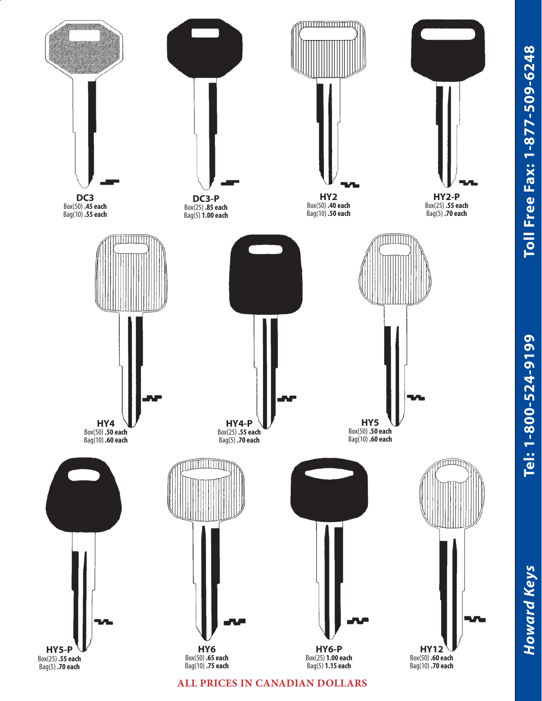

**ALL PRICES IN CANADIAN DOLLARS**

Tel: 1-800-524-9199